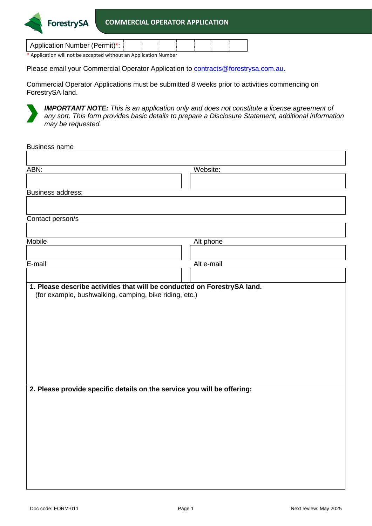Application Number (Permit)\*:

\* Application will not be accepted without an Application Number

**ForestrySA** 

Please email your Commercial Operator Application to **contracts@forestrysa.com.au.** 

Commercial Operator Applications must be submitted 8 weeks prior to activities commencing on ForestrySA land.



*IMPORTANT NOTE: This is an application only and does not constitute a license agreement of any sort. This form provides basic details to prepare a Disclosure Statement, additional information may be requested.* 

| <b>Business name</b>                                                     |            |  |  |  |
|--------------------------------------------------------------------------|------------|--|--|--|
|                                                                          |            |  |  |  |
| ABN:                                                                     | Website:   |  |  |  |
|                                                                          |            |  |  |  |
| Business address:                                                        |            |  |  |  |
|                                                                          |            |  |  |  |
| Contact person/s                                                         |            |  |  |  |
|                                                                          |            |  |  |  |
| <b>Mobile</b>                                                            | Alt phone  |  |  |  |
|                                                                          |            |  |  |  |
| E-mail                                                                   | Alt e-mail |  |  |  |
|                                                                          |            |  |  |  |
| 1. Please describe activities that will be conducted on ForestrySA land. |            |  |  |  |
| (for example, bushwalking, camping, bike riding, etc.)                   |            |  |  |  |
|                                                                          |            |  |  |  |
|                                                                          |            |  |  |  |
|                                                                          |            |  |  |  |
|                                                                          |            |  |  |  |
|                                                                          |            |  |  |  |
|                                                                          |            |  |  |  |
|                                                                          |            |  |  |  |
|                                                                          |            |  |  |  |
| 2. Please provide specific details on the service you will be offering:  |            |  |  |  |
|                                                                          |            |  |  |  |
|                                                                          |            |  |  |  |
|                                                                          |            |  |  |  |
|                                                                          |            |  |  |  |
|                                                                          |            |  |  |  |
|                                                                          |            |  |  |  |
|                                                                          |            |  |  |  |
|                                                                          |            |  |  |  |